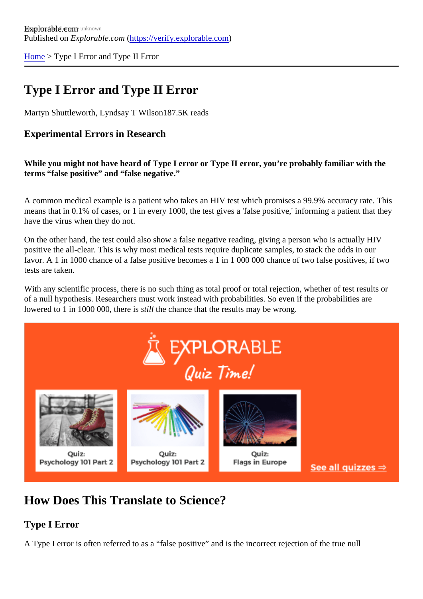[Home](https://verify.explorable.com/) > Type I Error and Type II Error

# Type I Error and Type II Error

Martyn Shuttleworth, Lyndsay T Wilson<sup>87.5K</sup> reads

#### Experimental Errors in Research

While you might not have heard of Type I error or Type II error, you're probably familiar with the terms "false positive" and "false negative."

A common medical example is a patient who takes an HIV test which promises a 99.9% accuracy rate. Th means that in 0.1% of cases, or 1 in every 1000, the test gives a 'false positive,' informing a patient that th have the virus when they do not.

On the other hand, the test could also show a false negative reading, giving a person who is actually HIV positive the all-clear. This is why most medical tests require duplicate samples, to stack the odds in our favor. A 1 in 1000 chance of a false positive becomes a 1 in 1 000 000 chance of two false positives, if two tests are taken.

With any scientific process, there is no such thing as total proof or total rejection, whether of test results or of a null hypothesis. Researchers must work instead with probabilities. So even if the probabilities are lowered to 1 in 1000 000, there sitill the chance that the results may be wrong.

## How Does This Translate to Science?

Type I Error

A Type I error is often referred to as a "false positive" and is the incorrect rejection of the true null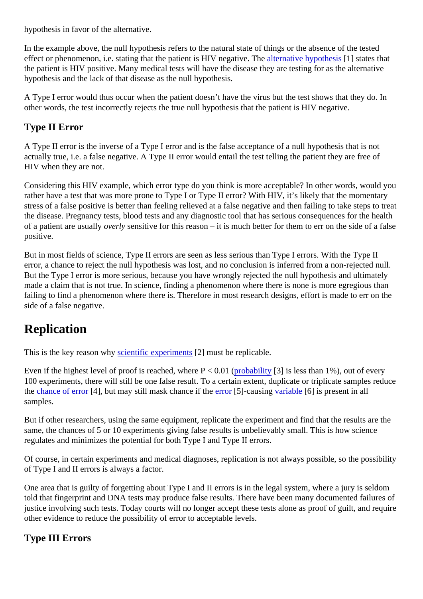hypothesis in favor of the alternative.

In the example above, the null hypothesis refers to the natural state of things or the absence of the tested effect or phenomenon, i.e. stating that the patient is HIV negative. The ative hypothesis all states that the patient is HIV positive. Many medical tests will have the disease they are testing for as the alternative hypothesis and the lack of that disease as the null hypothesis.

A Type I error would thus occur when the patient doesn't have the virus but the test shows that they do. In other words, the test incorrectly rejects the true null hypothesis that the patient is HIV negative.

#### Type II Error

A Type II error is the inverse of a Type I error and is the false acceptance of a null hypothesis that is not actually true, i.e. a false negative. A Type II error would entail the test telling the patient they are free of HIV when they are not.

Considering this HIV example, which error type do you think is more acceptable? In other words, would you rather have a test that was more prone to Type I or Type II error? With HIV, it's likely that the momentary stress of a false positive is better than feeling relieved at a false negative and then failing to take steps to t the disease. Pregnancy tests, blood tests and any diagnostic tool that has serious consequences for the h of a patient are usually verly sensitive for this reason  $-$  it is much better for them to err on the side of a false positive.

But in most fields of science, Type II errors are seen as less serious than Type I errors. With the Type II error, a chance to reject the null hypothesis was lost, and no conclusion is inferred from a non-rejected null But the Type I error is more serious, because you have wrongly rejected the null hypothesis and ultimately made a claim that is not true. In science, finding a phenomenon where there is none is more egregious than failing to find a phenomenon where there is. Therefore in most research designs, effort is made to err on the side of a false negative.

# **Replication**

This is the key reason where experiment  $[2]$  must be replicable.

Even if the highest level of proof is reached, where  $P < \phi$  (Orbability [3] is less than 1%), out of every 100 experiments, there will still be one false result. To a certain extent, duplicate or triplicate samples redu the [chance of erro](https://explorable.com/random-sampling-error)r 4], but may still mask chance if t[he error](https://explorable.com/experimental-error)  $[5]$ -causin[g variable](https://explorable.com/research-variables)  $[6]$  is present in all samples.

But if other researchers, using the same equipment, replicate the experiment and find that the results are the same, the chances of 5 or 10 experiments giving false results is unbelievably small. This is how science regulates and minimizes the potential for both Type I and Type II errors.

Of course, in certain experiments and medical diagnoses, replication is not always possible, so the possib of Type I and II errors is always a factor.

One area that is guilty of forgetting about Type I and II errors is in the legal system, where a jury is seldom told that fingerprint and DNA tests may produce false results. There have been many documented failures justice involving such tests. Today courts will no longer accept these tests alone as proof of guilt, and requ other evidence to reduce the possibility of error to acceptable levels.

Type III Errors